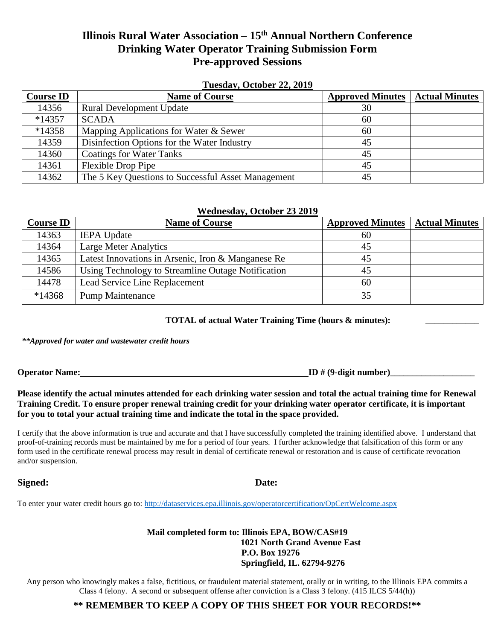# **Illinois Rural Water Association – 15 th Annual Northern Conference Drinking Water Operator Training Submission Form Pre-approved Sessions**

## **Tuesday, October 22, 2019**

| <b>Course ID</b> | <b>Name of Course</b>                              | <b>Approved Minutes   Actual Minutes</b> |  |
|------------------|----------------------------------------------------|------------------------------------------|--|
| 14356            | <b>Rural Development Update</b>                    | 30                                       |  |
| $*14357$         | <b>SCADA</b>                                       | 60                                       |  |
| $*14358$         | Mapping Applications for Water & Sewer             | 60                                       |  |
| 14359            | Disinfection Options for the Water Industry        | 45                                       |  |
| 14360            | <b>Coatings for Water Tanks</b>                    | 45                                       |  |
| 14361            | <b>Flexible Drop Pipe</b>                          | 45                                       |  |
| 14362            | The 5 Key Questions to Successful Asset Management | 45                                       |  |

## **Wednesday, October 23 2019**

| <b>Course ID</b> | <b>Name of Course</b>                              | <b>Approved Minutes</b> | <b>Actual Minutes</b> |
|------------------|----------------------------------------------------|-------------------------|-----------------------|
| 14363            | <b>IEPA</b> Update                                 | 60                      |                       |
| 14364            | <b>Large Meter Analytics</b>                       | 45                      |                       |
| 14365            | Latest Innovations in Arsenic, Iron & Manganese Re | 45                      |                       |
| 14586            | Using Technology to Streamline Outage Notification | 45                      |                       |
| 14478            | Lead Service Line Replacement                      | 60                      |                       |
| $*14368$         | <b>Pump Maintenance</b>                            | 35                      |                       |

 **TOTAL of actual Water Training Time (hours & minutes):** 

*\*\*Approved for water and wastewater credit hours*

**Operator Name: ID** # (9-digit number)

# **Please identify the actual minutes attended for each drinking water session and total the actual training time for Renewal Training Credit. To ensure proper renewal training credit for your drinking water operator certificate, it is important for you to total your actual training time and indicate the total in the space provided.**

I certify that the above information is true and accurate and that I have successfully completed the training identified above. I understand that proof-of-training records must be maintained by me for a period of four years. I further acknowledge that falsification of this form or any form used in the certificate renewal process may result in denial of certificate renewal or restoration and is cause of certificate revocation and/or suspension.

**Signed: Date:**

To enter your water credit hours go to:<http://dataservices.epa.illinois.gov/operatorcertification/OpCertWelcome.aspx>

# **Mail completed form to: Illinois EPA, BOW/CAS#19 1021 North Grand Avenue East P.O. Box 19276 Springfield, IL. 62794-9276**

Any person who knowingly makes a false, fictitious, or fraudulent material statement, orally or in writing, to the Illinois EPA commits a Class 4 felony. A second or subsequent offense after conviction is a Class 3 felony. (415 ILCS 5/44(h))

# **\*\* REMEMBER TO KEEP A COPY OF THIS SHEET FOR YOUR RECORDS!\*\***